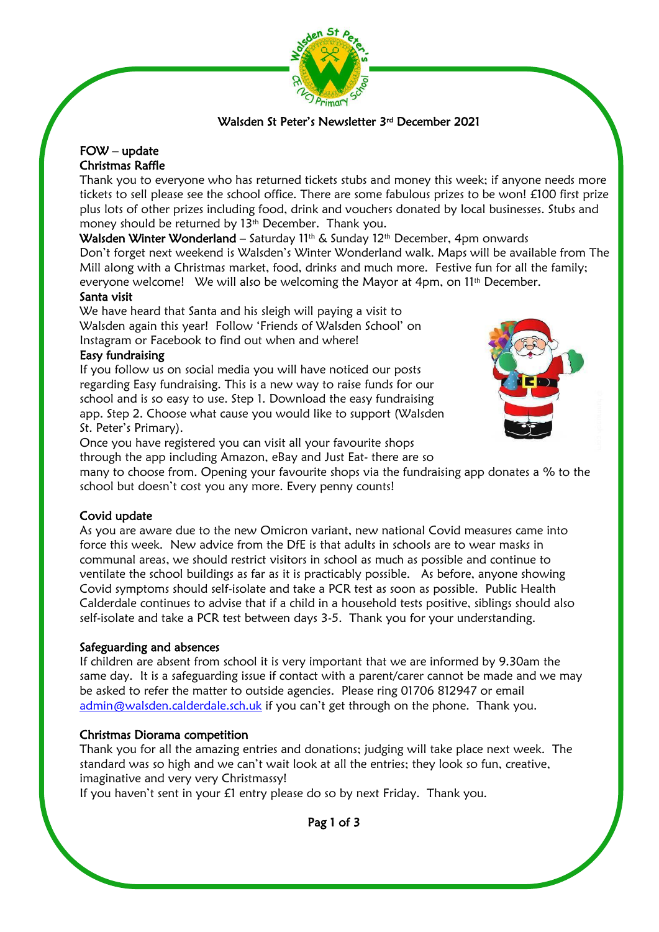

# Walsden St Peter's Newsletter 3rd December 2021

## FOW – update Christmas Raffle

Thank you to everyone who has returned tickets stubs and money this week; if anyone needs more tickets to sell please see the school office. There are some fabulous prizes to be won! £100 first prize plus lots of other prizes including food, drink and vouchers donated by local businesses. Stubs and money should be returned by 13<sup>th</sup> December. Thank you.

Walsden Winter Wonderland – Saturday 11th & Sunday 12th December, 4pm onwards

Don't forget next weekend is Walsden's Winter Wonderland walk. Maps will be available from The Mill along with a Christmas market, food, drinks and much more. Festive fun for all the family; everyone welcome! We will also be welcoming the Mayor at 4pm, on 11<sup>th</sup> December.

## Santa visit

We have heard that Santa and his sleigh will paying a visit to Walsden again this year! Follow 'Friends of Walsden School' on Instagram or Facebook to find out when and where!

## Easy fundraising

If you follow us on social media you will have noticed our posts regarding Easy fundraising. This is a new way to raise funds for our school and is so easy to use. Step 1. Download the easy fundraising app. Step 2. Choose what cause you would like to support (Walsden St. Peter's Primary).



Once you have registered you can visit all your favourite shops through the app including Amazon, eBay and Just Eat- there are so

many to choose from. Opening your favourite shops via the fundraising app donates a % to the school but doesn't cost you any more. Every penny counts!

# Covid update

ì

As you are aware due to the new Omicron variant, new national Covid measures came into force this week. New advice from the DfE is that adults in schools are to wear masks in communal areas, we should restrict visitors in school as much as possible and continue to ventilate the school buildings as far as it is practicably possible. As before, anyone showing Covid symptoms should self-isolate and take a PCR test as soon as possible. Public Health Calderdale continues to advise that if a child in a household tests positive, siblings should also self-isolate and take a PCR test between days 3-5. Thank you for your understanding.

## Safeguarding and absences

If children are absent from school it is very important that we are informed by 9.30am the same day. It is a safeguarding issue if contact with a parent/carer cannot be made and we may be asked to refer the matter to outside agencies. Please ring 01706 812947 or email [admin@walsden.calderdale.sch.uk](mailto:admin@walsden.calderdale.sch.uk) if you can't get through on the phone. Thank you.

# Christmas Diorama competition

Thank you for all the amazing entries and donations; judging will take place next week. The standard was so high and we can't wait look at all the entries; they look so fun, creative, imaginative and very very Christmassy!

If you haven't sent in your £1 entry please do so by next Friday. Thank you.

Pag 1 of 3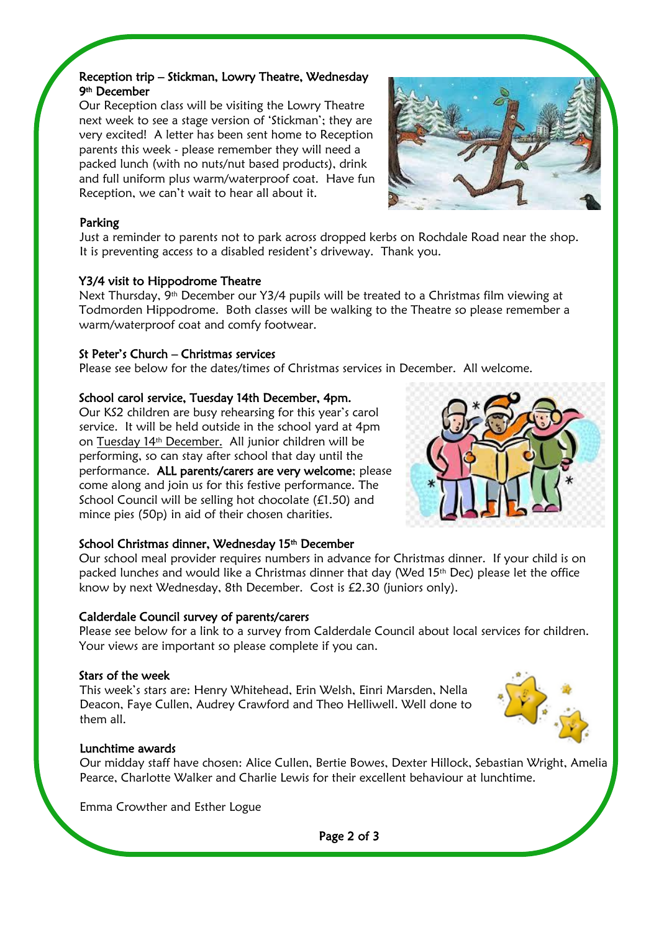# Reception trip – Stickman, Lowry Theatre, Wednesday 9th December

 Our Reception class will be visiting the Lowry Theatre next week to see a stage version of 'Stickman'; they are very excited! A letter has been sent home to Reception parents this week - please remember they will need a packed lunch (with no nuts/nut based products), drink and full uniform plus warm/waterproof coat. Have fun Reception, we can't wait to hear all about it.



# Parking

ł

Just a reminder to parents not to park across dropped kerbs on Rochdale Road near the shop. It is preventing access to a disabled resident's driveway. Thank you.

## Y3/4 visit to Hippodrome Theatre

Next Thursday, 9th December our Y3/4 pupils will be treated to a Christmas film viewing at Todmorden Hippodrome. Both classes will be walking to the Theatre so please remember a warm/waterproof coat and comfy footwear.

## St Peter's Church – Christmas services

Please see below for the dates/times of Christmas services in December. All welcome.

## School carol service, Tuesday 14th December, 4pm.

Our KS2 children are busy rehearsing for this year's carol service. It will be held outside in the school yard at 4pm on Tuesday 14th December. All junior children will be performing, so can stay after school that day until the performance. ALL parents/carers are very welcome; please come along and join us for this festive performance. The School Council will be selling hot chocolate (£1.50) and mince pies (50p) in aid of their chosen charities.



## School Christmas dinner, Wednesday 15<sup>th</sup> December

Our school meal provider requires numbers in advance for Christmas dinner. If your child is on packed lunches and would like a Christmas dinner that day (Wed 15<sup>th</sup> Dec) please let the office know by next Wednesday, 8th December. Cost is £2.30 (juniors only).

# Calderdale Council survey of parents/carers

Please see below for a link to a survey from Calderdale Council about local services for children. Your views are important so please complete if you can.

## Stars of the week

This week's stars are: Henry Whitehead, Erin Welsh, Einri Marsden, Nella Deacon, Faye Cullen, Audrey Crawford and Theo Helliwell. Well done to them all.



## Lunchtime awards

Our midday staff have chosen: Alice Cullen, Bertie Bowes, Dexter Hillock, Sebastian Wright, Amelia Pearce, Charlotte Walker and Charlie Lewis for their excellent behaviour at lunchtime.

Emma Crowther and Esther Logue

Page 2 of 3